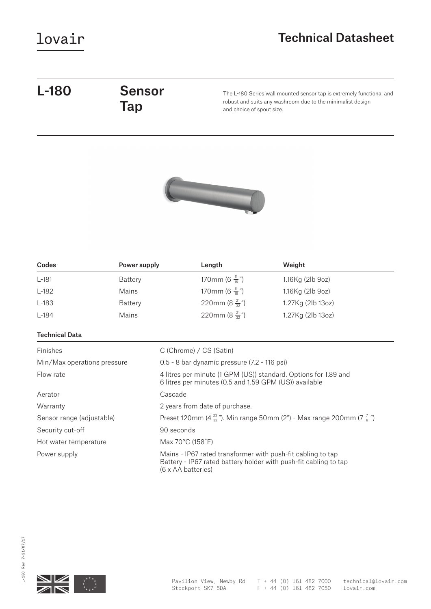### Technical Datasheet

# L-180 Sensor

# Tap

The L-180 Series wall mounted sensor tap is extremely functional and robust and suits any washroom due to the minimalist design and choice of spout size.



| Codes   | Power supply | Length                      | Weight            |
|---------|--------------|-----------------------------|-------------------|
| $L-181$ | Battery      | 170mm (6 $\frac{11}{16}$ ") | 1.16Kg (2lb 9oz)  |
| $L-182$ | Mains        | 170mm (6 $\frac{11}{16}$ ") | 1.16Kg (2lb 9oz)  |
| L-183   | Battery      | 220mm (8 $\frac{21}{32}$ ") | 1.27Kg (2lb 13oz) |
| $L-184$ | Mains        | 220mm (8 $\frac{21}{32}$ ") | 1.27Kg (2lb 13oz) |

### Technical Data

| Finishes                    | C (Chrome) / CS (Satin)                                                                                                                               |
|-----------------------------|-------------------------------------------------------------------------------------------------------------------------------------------------------|
| Min/Max operations pressure | 0.5 - 8 bar dynamic pressure (7.2 - 116 psi)                                                                                                          |
| Flow rate                   | 4 litres per minute (1 GPM (US)) standard. Options for 1.89 and<br>6 litres per minutes (0.5 and 1.59 GPM (US)) available                             |
| Aerator                     | Cascade                                                                                                                                               |
| Warranty                    | 2 years from date of purchase.                                                                                                                        |
| Sensor range (adjustable)   | Preset 120mm (4 $\frac{23}{32}$ "). Min range 50mm (2") - Max range 200mm (7 $\frac{7}{8}$ ")                                                         |
| Security cut-off            | 90 seconds                                                                                                                                            |
| Hot water temperature       | Max $70^{\circ}$ C (158 $^{\circ}$ F)                                                                                                                 |
| Power supply                | Mains - IP67 rated transformer with push-fit cabling to tap<br>Battery - IP67 rated battery holder with push-fit cabling to tap<br>(6 x AA batteries) |

Z

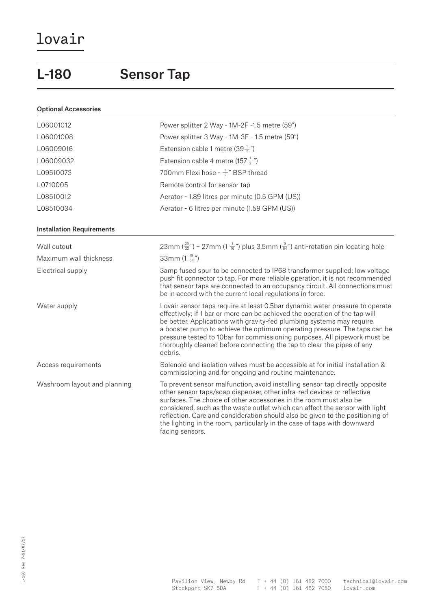Optional Accessories

### L-180 Sensor Tap

### L06001012 Power splitter 2 Way - 1M-2F -1.5 metre (59") L06001008 Power splitter 3 Way - 1M-3F - 1.5 metre (59") L06009016  $\qquad \qquad$  Extension cable 1 metre (39 $\frac{1}{2}$ ") L06009032 Extension cable 4 metre (157 $\frac{1}{2}$ ") L09510073 700mm Flexi hose - <sup>1</sup> <sup>2</sup> " BSP thread L0710005 Remote control for sensor tap L08510012 Aerator - 1.89 litres per minute (0.5 GPM (US)) L08510034 Aerator - 6 litres per minute (1.59 GPM (US)) Installation Requirements Wall cutout  $23$ mm ( $\frac{29}{32}$ ") – 27mm (1  $\frac{1}{16}$ ") plus 3.5mm ( $\frac{9}{64}$ ") anti-rotation pin locating hole Maximum wall thickness 33mm  $(1 \frac{19}{64}$ ") Electrical supply 3amp fused spur to be connected to IP68 transformer supplied; low voltage push fit connector to tap. For more reliable operation, it is not recommended that sensor taps are connected to an occupancy circuit. All connections must be in accord with the current local regulations in force. Water supply Lovair sensor taps require at least 0.5bar dynamic water pressure to operate effectively; if 1 bar or more can be achieved the operation of the tap will be better. Applications with gravity-fed plumbing systems may require a booster pump to achieve the optimum operating pressure. The taps can be pressure tested to 10bar for commissioning purposes. All pipework must be thoroughly cleaned before connecting the tap to clear the pipes of any debris. Access requirements Solenoid and isolation valves must be accessible at for initial installation & commissioning and for ongoing and routine maintenance. Washroom layout and planning To prevent sensor malfunction, avoid installing sensor tap directly opposite other sensor taps/soap dispenser, other infra-red devices or reflective surfaces. The choice of other accessories in the room must also be considered, such as the waste outlet which can affect the sensor with light reflection. Care and consideration should also be given to the positioning of

facing sensors.

the lighting in the room, particularly in the case of taps with downward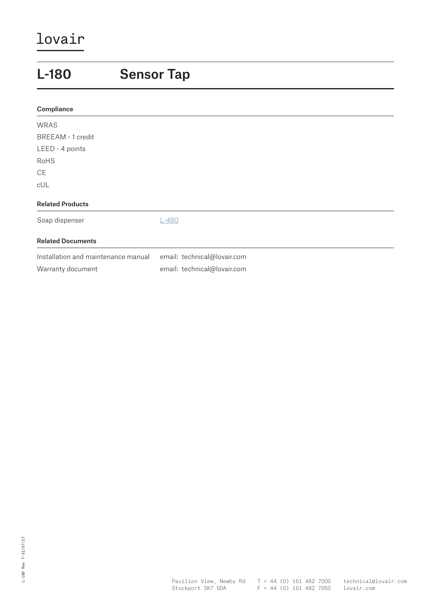### L-180 Sensor Tap Related Products Soap dispenser L-480 **Compliance** WRAS BREEAM - 1 credit LEED - 4 points RoHS **CE** cUL Related Documents Installation and maintenance manual email: technical@lovair.com Warranty document email: technical@lovair.com